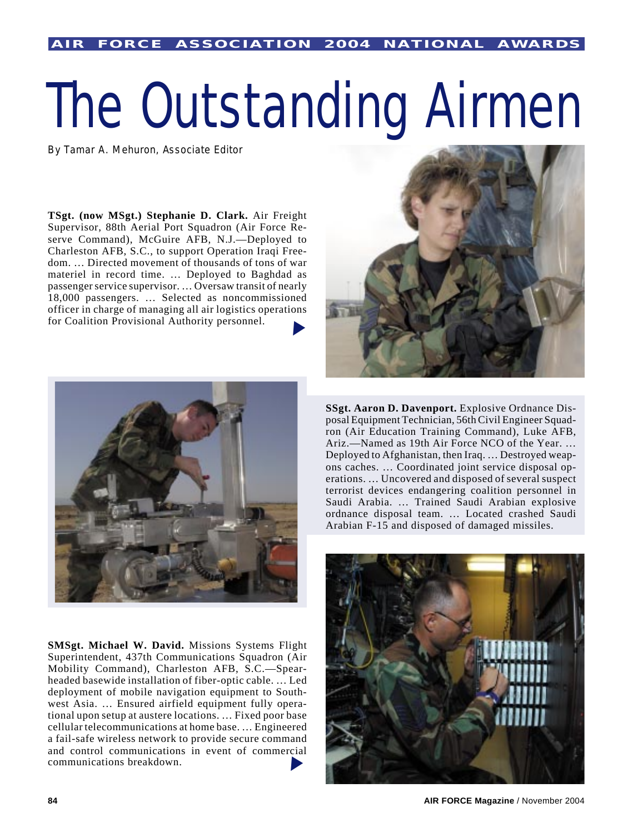## The Outstanding Airmen

By Tamar A. Mehuron, Associate Editor

**TSgt. (now MSgt.) Stephanie D. Clark.** Air Freight Supervisor, 88th Aerial Port Squadron (Air Force Reserve Command), McGuire AFB, N.J.—Deployed to Charleston AFB, S.C., to support Operation Iraqi Freedom. … Directed movement of thousands of tons of war materiel in record time. … Deployed to Baghdad as passenger service supervisor. … Oversaw transit of nearly 18,000 passengers. … Selected as noncommissioned officer in charge of managing all air logistics operations for Coalition Provisional Authority personnel. ▼



**SMSgt. Michael W. David.** Missions Systems Flight Superintendent, 437th Communications Squadron (Air Mobility Command), Charleston AFB, S.C.—Spearheaded basewide installation of fiber-optic cable. … Led deployment of mobile navigation equipment to Southwest Asia. … Ensured airfield equipment fully operational upon setup at austere locations. … Fixed poor base cellular telecommunications at home base. … Engineered a fail-safe wireless network to provide secure command and control communications in event of commercial communications breakdown. ▼



**SSgt. Aaron D. Davenport.** Explosive Ordnance Disposal Equipment Technician, 56th Civil Engineer Squadron (Air Education Training Command), Luke AFB, Ariz.—Named as 19th Air Force NCO of the Year. … Deployed to Afghanistan, then Iraq. … Destroyed weapons caches. … Coordinated joint service disposal operations. … Uncovered and disposed of several suspect terrorist devices endangering coalition personnel in Saudi Arabia. … Trained Saudi Arabian explosive ordnance disposal team. … Located crashed Saudi Arabian F-15 and disposed of damaged missiles.

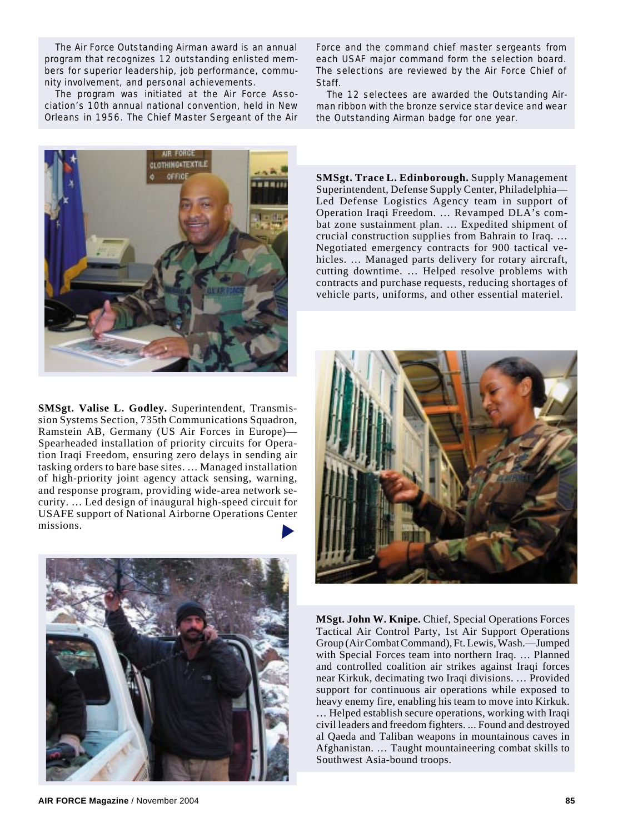The Air Force Outstanding Airman award is an annual program that recognizes 12 outstanding enlisted members for superior leadership, job performance, community involvement, and personal achievements.

The program was initiated at the Air Force Association's 10th annual national convention, held in New Orleans in 1956. The Chief Master Sergeant of the Air

LOTHING TEXTILE ornor

**SMSgt. Valise L. Godley.** Superintendent, Transmission Systems Section, 735th Communications Squadron, Ramstein AB, Germany (US Air Forces in Europe)— Spearheaded installation of priority circuits for Operation Iraqi Freedom, ensuring zero delays in sending air tasking orders to bare base sites. … Managed installation of high-priority joint agency attack sensing, warning, and response program, providing wide-area network security. … Led design of inaugural high-speed circuit for USAFE support of National Airborne Operations Center missions. ▼



**AIR FORCE Magazine** / November 2004 **85**

Force and the command chief master sergeants from each USAF major command form the selection board. The selections are reviewed by the Air Force Chief of Staff.

The 12 selectees are awarded the Outstanding Airman ribbon with the bronze service star device and wear the Outstanding Airman badge for one year.

**SMSgt. Trace L. Edinborough.** Supply Management Superintendent, Defense Supply Center, Philadelphia— Led Defense Logistics Agency team in support of Operation Iraqi Freedom. … Revamped DLA's combat zone sustainment plan. … Expedited shipment of crucial construction supplies from Bahrain to Iraq. … Negotiated emergency contracts for 900 tactical vehicles. … Managed parts delivery for rotary aircraft, cutting downtime. … Helped resolve problems with contracts and purchase requests, reducing shortages of vehicle parts, uniforms, and other essential materiel.



**MSgt. John W. Knipe.** Chief, Special Operations Forces Tactical Air Control Party, 1st Air Support Operations Group (Air Combat Command), Ft. Lewis, Wash.—Jumped with Special Forces team into northern Iraq. … Planned and controlled coalition air strikes against Iraqi forces near Kirkuk, decimating two Iraqi divisions. … Provided support for continuous air operations while exposed to heavy enemy fire, enabling his team to move into Kirkuk. … Helped establish secure operations, working with Iraqi civil leaders and freedom fighters. ... Found and destroyed al Qaeda and Taliban weapons in mountainous caves in Afghanistan. … Taught mountaineering combat skills to Southwest Asia-bound troops.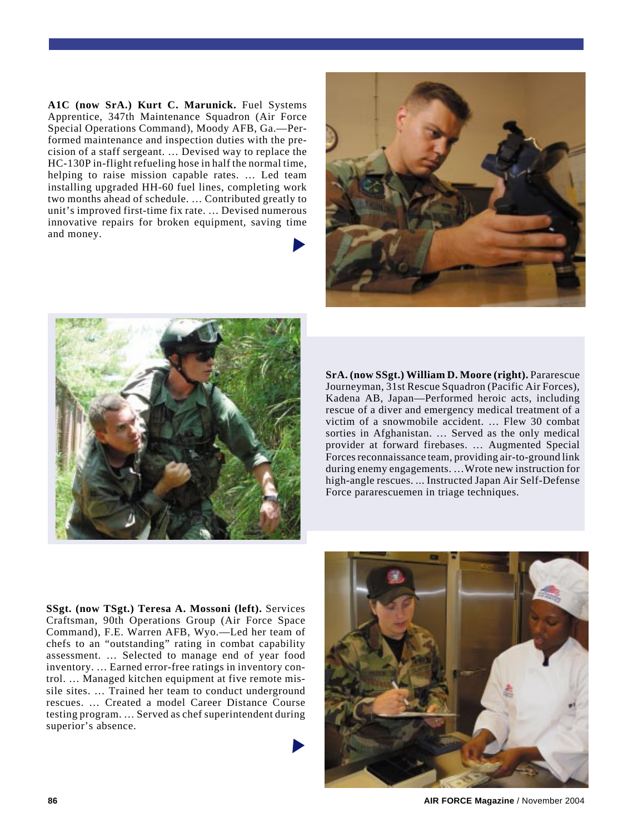**A1C (now SrA.) Kurt C. Marunick.** Fuel Systems Apprentice, 347th Maintenance Squadron (Air Force Special Operations Command), Moody AFB, Ga.—Performed maintenance and inspection duties with the precision of a staff sergeant. … Devised way to replace the HC-130P in-flight refueling hose in half the normal time, helping to raise mission capable rates. … Led team installing upgraded HH-60 fuel lines, completing work two months ahead of schedule. … Contributed greatly to unit's improved first-time fix rate. … Devised numerous innovative repairs for broken equipment, saving time and money. ▼





**SrA. (now SSgt.) William D. Moore (right).** Pararescue Journeyman, 31st Rescue Squadron (Pacific Air Forces), Kadena AB, Japan—Performed heroic acts, including rescue of a diver and emergency medical treatment of a victim of a snowmobile accident. … Flew 30 combat sorties in Afghanistan. … Served as the only medical provider at forward firebases. … Augmented Special Forces reconnaissance team, providing air-to-ground link during enemy engagements. …Wrote new instruction for high-angle rescues. ... Instructed Japan Air Self-Defense Force pararescuemen in triage techniques.

**SSgt. (now TSgt.) Teresa A. Mossoni (left).** Services Craftsman, 90th Operations Group (Air Force Space Command), F.E. Warren AFB, Wyo.—Led her team of chefs to an "outstanding" rating in combat capability assessment. … Selected to manage end of year food inventory. … Earned error-free ratings in inventory control. … Managed kitchen equipment at five remote missile sites. … Trained her team to conduct underground rescues. … Created a model Career Distance Course testing program. … Served as chef superintendent during superior's absence.

▼



**86 AIR FORCE Magazine** / November 2004